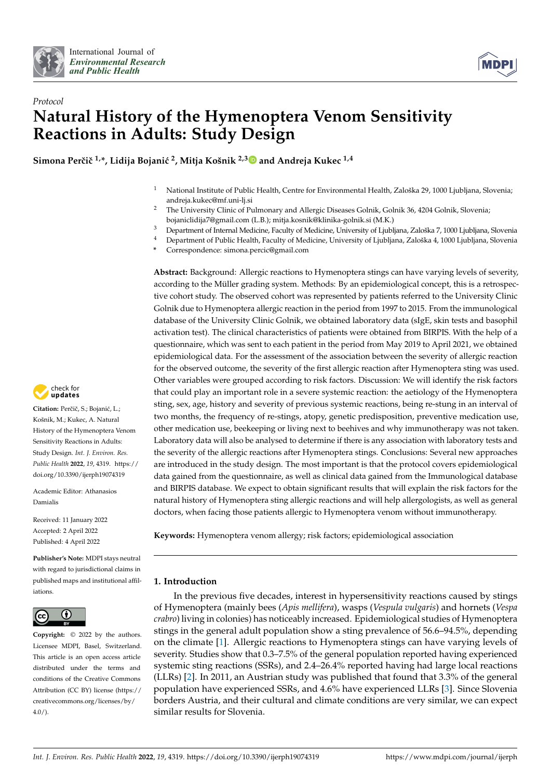



# *Protocol* **Natural History of the Hymenoptera Venom Sensitivity Reactions in Adults: Study Design**

**Simona Perˇciˇc 1,\*, Lidija Bojani´c <sup>2</sup> , Mitja Košnik 2,3 and Andreja Kukec 1,4**

- <sup>1</sup> National Institute of Public Health, Centre for Environmental Health, Zaloška 29, 1000 Ljubljana, Slovenia; andreja.kukec@mf.uni-lj.si
- <sup>2</sup> The University Clinic of Pulmonary and Allergic Diseases Golnik, Golnik 36, 4204 Golnik, Slovenia; bojaniclidija7@gmail.com (L.B.); mitja.kosnik@klinika-golnik.si (M.K.)
- <sup>3</sup> Department of Internal Medicine, Faculty of Medicine, University of Ljubljana, Zaloška 7, 1000 Ljubljana, Slovenia<br><sup>4</sup> Department of Public Health Faculty of Medicine, University of Ljubljana, Zaloška 4, 1000 Ljubljana
- <sup>4</sup> Department of Public Health, Faculty of Medicine, University of Ljubljana, Zaloška 4, 1000 Ljubljana, Slovenia
- **\*** Correspondence: simona.percic@gmail.com

**Abstract:** Background: Allergic reactions to Hymenoptera stings can have varying levels of severity, according to the Müller grading system. Methods: By an epidemiological concept, this is a retrospective cohort study. The observed cohort was represented by patients referred to the University Clinic Golnik due to Hymenoptera allergic reaction in the period from 1997 to 2015. From the immunological database of the University Clinic Golnik, we obtained laboratory data (sIgE, skin tests and basophil activation test). The clinical characteristics of patients were obtained from BIRPIS. With the help of a questionnaire, which was sent to each patient in the period from May 2019 to April 2021, we obtained epidemiological data. For the assessment of the association between the severity of allergic reaction for the observed outcome, the severity of the first allergic reaction after Hymenoptera sting was used. Other variables were grouped according to risk factors. Discussion: We will identify the risk factors that could play an important role in a severe systemic reaction: the aetiology of the Hymenoptera sting, sex, age, history and severity of previous systemic reactions, being re-stung in an interval of two months, the frequency of re-stings, atopy, genetic predisposition, preventive medication use, other medication use, beekeeping or living next to beehives and why immunotherapy was not taken. Laboratory data will also be analysed to determine if there is any association with laboratory tests and the severity of the allergic reactions after Hymenoptera stings. Conclusions: Several new approaches are introduced in the study design. The most important is that the protocol covers epidemiological data gained from the questionnaire, as well as clinical data gained from the Immunological database and BIRPIS database. We expect to obtain significant results that will explain the risk factors for the natural history of Hymenoptera sting allergic reactions and will help allergologists, as well as general doctors, when facing those patients allergic to Hymenoptera venom without immunotherapy.

**Keywords:** Hymenoptera venom allergy; risk factors; epidemiological association

# **1. Introduction**

In the previous five decades, interest in hypersensitivity reactions caused by stings of Hymenoptera (mainly bees (*Apis mellifera*), wasps (*Vespula vulgaris*) and hornets (*Vespa crabro*) living in colonies) has noticeably increased. Epidemiological studies of Hymenoptera stings in the general adult population show a sting prevalence of 56.6–94.5%, depending on the climate [1]. Allergic reactions to Hymenoptera stings can have varying levels of severity. Studies show that 0.3–7.5% of the general population reported having experienced systemic sting reactions (SSRs), and 2.4–26.4% reported having had large local reactions (LLRs) [2]. In 2011, an Austrian study was published that found that 3.3% of the general population have experienced SSRs, and 4.6% have experienced LLRs [3]. Since Slovenia borders Austria, and their cultural and climate conditions are very similar, we can expect similar results for Slovenia.



Citation: Perčič, S.; Bojanić, L.; Košnik, M.; Kukec, A. Natural History of the Hymenoptera Venom Sensitivity Reactions in Adults: Study Design. *Int. J. Environ. Res. Public Health* **2022**, *19*, 4319. https:// doi.org/10.3390/ijerph19074319

Academic Editor: Athanasios Damialis

Received: 11 January 2022 Accepted: 2 April 2022 Published: 4 April 2022

**Publisher's Note:** MDPI stays neutral with regard to jurisdictional claims in published maps and institutional affiliations.



**Copyright:** © 2022 by the authors. Licensee MDPI, Basel, Switzerland. This article is an open access article distributed under the terms and conditions of the Creative Commons Attribution (CC BY) license (https:// creativecommons.org/licenses/by/  $4.0/$ ).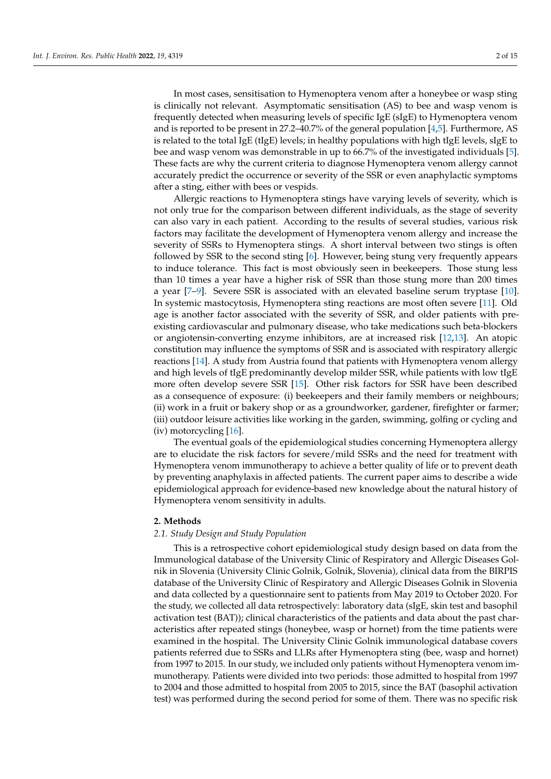In most cases, sensitisation to Hymenoptera venom after a honeybee or wasp sting is clinically not relevant. Asymptomatic sensitisation (AS) to bee and wasp venom is frequently detected when measuring levels of specific IgE (sIgE) to Hymenoptera venom and is reported to be present in 27.2–40.7% of the general population  $[4,5]$ . Furthermore, AS is related to the total IgE (tIgE) levels; in healthy populations with high tIgE levels, sIgE to bee and wasp venom was demonstrable in up to 66.7% of the investigated individuals [5]. These facts are why the current criteria to diagnose Hymenoptera venom allergy cannot accurately predict the occurrence or severity of the SSR or even anaphylactic symptoms after a sting, either with bees or vespids.

Allergic reactions to Hymenoptera stings have varying levels of severity, which is not only true for the comparison between different individuals, as the stage of severity can also vary in each patient. According to the results of several studies, various risk factors may facilitate the development of Hymenoptera venom allergy and increase the severity of SSRs to Hymenoptera stings. A short interval between two stings is often followed by SSR to the second sting [6]. However, being stung very frequently appears to induce tolerance. This fact is most obviously seen in beekeepers. Those stung less than 10 times a year have a higher risk of SSR than those stung more than 200 times a year [7–9]. Severe SSR is associated with an elevated baseline serum tryptase [10]. In systemic mastocytosis, Hymenoptera sting reactions are most often severe [11]. Old age is another factor associated with the severity of SSR, and older patients with preexisting cardiovascular and pulmonary disease, who take medications such beta-blockers or angiotensin-converting enzyme inhibitors, are at increased risk [12,13]. An atopic constitution may influence the symptoms of SSR and is associated with respiratory allergic reactions [14]. A study from Austria found that patients with Hymenoptera venom allergy and high levels of tIgE predominantly develop milder SSR, while patients with low tIgE more often develop severe SSR [15]. Other risk factors for SSR have been described as a consequence of exposure: (i) beekeepers and their family members or neighbours; (ii) work in a fruit or bakery shop or as a groundworker, gardener, firefighter or farmer; (iii) outdoor leisure activities like working in the garden, swimming, golfing or cycling and (iv) motorcycling [16].

The eventual goals of the epidemiological studies concerning Hymenoptera allergy are to elucidate the risk factors for severe/mild SSRs and the need for treatment with Hymenoptera venom immunotherapy to achieve a better quality of life or to prevent death by preventing anaphylaxis in affected patients. The current paper aims to describe a wide epidemiological approach for evidence-based new knowledge about the natural history of Hymenoptera venom sensitivity in adults.

# **2. Methods**

#### *2.1. Study Design and Study Population*

This is a retrospective cohort epidemiological study design based on data from the Immunological database of the University Clinic of Respiratory and Allergic Diseases Golnik in Slovenia (University Clinic Golnik, Golnik, Slovenia), clinical data from the BIRPIS database of the University Clinic of Respiratory and Allergic Diseases Golnik in Slovenia and data collected by a questionnaire sent to patients from May 2019 to October 2020. For the study, we collected all data retrospectively: laboratory data (sIgE, skin test and basophil activation test (BAT)); clinical characteristics of the patients and data about the past characteristics after repeated stings (honeybee, wasp or hornet) from the time patients were examined in the hospital. The University Clinic Golnik immunological database covers patients referred due to SSRs and LLRs after Hymenoptera sting (bee, wasp and hornet) from 1997 to 2015. In our study, we included only patients without Hymenoptera venom immunotherapy. Patients were divided into two periods: those admitted to hospital from 1997 to 2004 and those admitted to hospital from 2005 to 2015, since the BAT (basophil activation test) was performed during the second period for some of them. There was no specific risk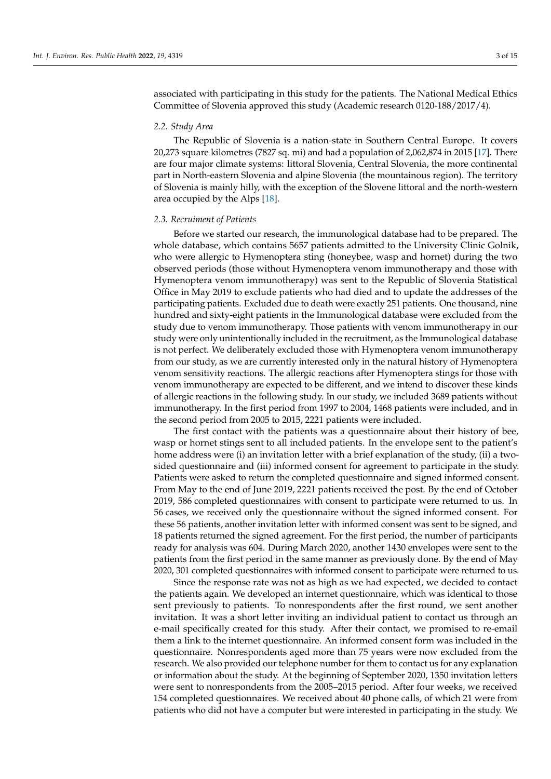associated with participating in this study for the patients. The National Medical Ethics Committee of Slovenia approved this study (Academic research 0120-188/2017/4).

# *2.2. Study Area*

The Republic of Slovenia is a nation-state in Southern Central Europe. It covers 20,273 square kilometres (7827 sq. mi) and had a population of 2,062,874 in 2015 [17]. There are four major climate systems: littoral Slovenia, Central Slovenia, the more continental part in North-eastern Slovenia and alpine Slovenia (the mountainous region). The territory of Slovenia is mainly hilly, with the exception of the Slovene littoral and the north-western area occupied by the Alps [18].

#### *2.3. Recruiment of Patients*

Before we started our research, the immunological database had to be prepared. The whole database, which contains 5657 patients admitted to the University Clinic Golnik, who were allergic to Hymenoptera sting (honeybee, wasp and hornet) during the two observed periods (those without Hymenoptera venom immunotherapy and those with Hymenoptera venom immunotherapy) was sent to the Republic of Slovenia Statistical Office in May 2019 to exclude patients who had died and to update the addresses of the participating patients. Excluded due to death were exactly 251 patients. One thousand, nine hundred and sixty-eight patients in the Immunological database were excluded from the study due to venom immunotherapy. Those patients with venom immunotherapy in our study were only unintentionally included in the recruitment, as the Immunological database is not perfect. We deliberately excluded those with Hymenoptera venom immunotherapy from our study, as we are currently interested only in the natural history of Hymenoptera venom sensitivity reactions. The allergic reactions after Hymenoptera stings for those with venom immunotherapy are expected to be different, and we intend to discover these kinds of allergic reactions in the following study. In our study, we included 3689 patients without immunotherapy. In the first period from 1997 to 2004, 1468 patients were included, and in the second period from 2005 to 2015, 2221 patients were included.

The first contact with the patients was a questionnaire about their history of bee, wasp or hornet stings sent to all included patients. In the envelope sent to the patient's home address were (i) an invitation letter with a brief explanation of the study, (ii) a twosided questionnaire and (iii) informed consent for agreement to participate in the study. Patients were asked to return the completed questionnaire and signed informed consent. From May to the end of June 2019, 2221 patients received the post. By the end of October 2019, 586 completed questionnaires with consent to participate were returned to us. In 56 cases, we received only the questionnaire without the signed informed consent. For these 56 patients, another invitation letter with informed consent was sent to be signed, and 18 patients returned the signed agreement. For the first period, the number of participants ready for analysis was 604. During March 2020, another 1430 envelopes were sent to the patients from the first period in the same manner as previously done. By the end of May 2020, 301 completed questionnaires with informed consent to participate were returned to us.

Since the response rate was not as high as we had expected, we decided to contact the patients again. We developed an internet questionnaire, which was identical to those sent previously to patients. To nonrespondents after the first round, we sent another invitation. It was a short letter inviting an individual patient to contact us through an e-mail specifically created for this study. After their contact, we promised to re-email them a link to the internet questionnaire. An informed consent form was included in the questionnaire. Nonrespondents aged more than 75 years were now excluded from the research. We also provided our telephone number for them to contact us for any explanation or information about the study. At the beginning of September 2020, 1350 invitation letters were sent to nonrespondents from the 2005–2015 period. After four weeks, we received 154 completed questionnaires. We received about 40 phone calls, of which 21 were from patients who did not have a computer but were interested in participating in the study. We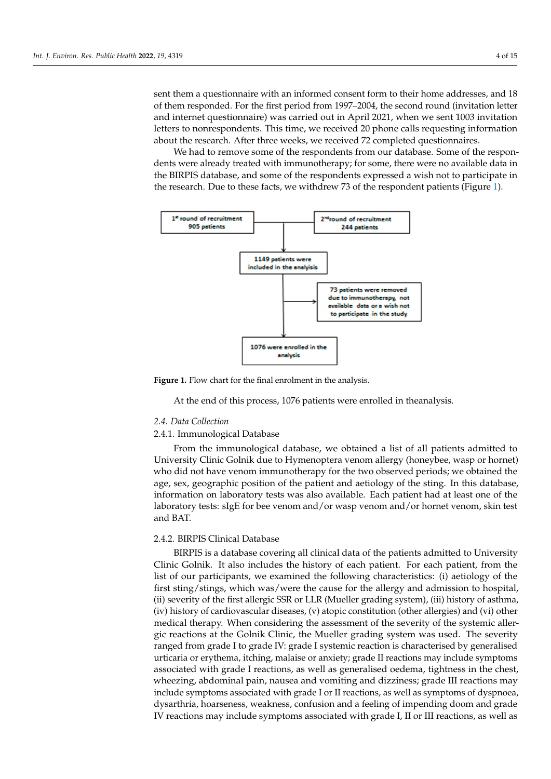sent them a questionnaire with an informed consent form to their home addresses, and 18 of them responded. For the first period from 1997–2004, the second round (invitation letter and internet questionnaire) was carried out in April 2021, when we sent 1003 invitation letters to nonrespondents. This time, we received 20 phone calls requesting information about the research. After three weeks, we received 72 completed questionnaires.

> We had to remove some of the respondents from our database. Some of the respondents were already treated with immunotherapy; for some, there were no available data in the BIRPIS database, and some of the respondents expressed a wish not to participate in the research. Due to these facts, we withdrew 73 of the respondent patients (Figure 1).



spondents were already treated with immunotherapy; for some  $\alpha$  and  $\alpha$  available with intervals  $\alpha$ 

**Figure 1.** Flow chart for the final enrolment in the analysis.

At the end of this process, 1076 patients were enrolled in theanalysis.

# *2.4. Data Collection*

# 2.4.1. Immunological Database

*2.4. Data Collection*  University Clinic Golnik due to Hymenoptera venom allergy (honeybee, wasp or hornet) who did not have venom immunoliterapy for the two observed periods, we obtained the<br>age, sex, geographic position of the patient and aetiology of the sting. In this database, information on laboratory tests was also available. Each patient had at least one of the laboratory tests: sIgE for bee venom and/or wasp venom and/or hornet venom, skin test  $\mu$  and BAT. From the immunological database, we obtained a list of all patients admitted to who did not have venom immunotherapy for the two observed periods; we obtained the and BAT.

# 2.4.2. BIRPIS Clinical Database

information on laboratory tests was also available. Each patient had at least one of the theory tests was at least one of the theory tests was also at least one of the theory tests was at least one of the theory of the the BIRPIS is a database covering all clinical data of the patients admitted to University Clinic Golnik. It also includes the history of each patient. For each patient, from the list of our participants, we examined the following characteristics: (i) aetiology of the first sting/stings, which was/were the cause for the allergy and admission to hospital, (ii) severity of the first allergic SSR or LLR (Mueller grading system), (iii) history of asthma, (iv) history of cardiovascular diseases, (v) atopic constitution (other allergies) and (vi) other medical therapy. When considering the assessment of the severity of the systemic allergic reactions at the Golnik Clinic, the Mueller grading system was used. The severity ranged from grade I to grade IV: grade I systemic reaction is characterised by generalised urticaria or erythema, itching, malaise or anxiety; grade II reactions may include symptoms associated with grade I reactions, as well as generalised oedema, tightness in the chest, wheezing, abdominal pain, nausea and vomiting and dizziness; grade III reactions may include symptoms associated with grade I or II reactions, as well as symptoms of dyspnoea, dysarthria, hoarseness, weakness, confusion and a feeling of impending doom and grade IV reactions may include symptoms associated with grade I, II or III reactions, as well as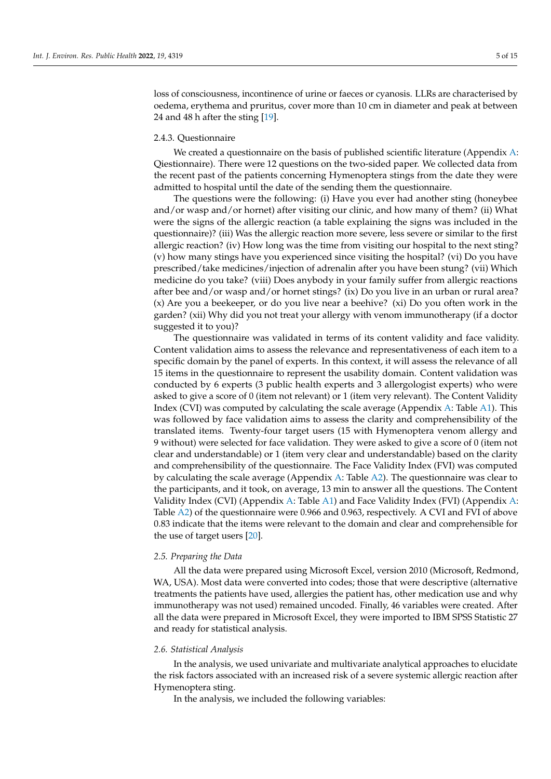loss of consciousness, incontinence of urine or faeces or cyanosis. LLRs are characterised by oedema, erythema and pruritus, cover more than 10 cm in diameter and peak at between 24 and 48 h after the sting [19].

#### 2.4.3. Questionnaire

We created a questionnaire on the basis of published scientific literature (Appendix  $A$ : Qiestionnaire). There were 12 questions on the two-sided paper. We collected data from the recent past of the patients concerning Hymenoptera stings from the date they were admitted to hospital until the date of the sending them the questionnaire.

The questions were the following: (i) Have you ever had another sting (honeybee and/or wasp and/or hornet) after visiting our clinic, and how many of them? (ii) What were the signs of the allergic reaction (a table explaining the signs was included in the questionnaire)? (iii) Was the allergic reaction more severe, less severe or similar to the first allergic reaction? (iv) How long was the time from visiting our hospital to the next sting? (v) how many stings have you experienced since visiting the hospital? (vi) Do you have prescribed/take medicines/injection of adrenalin after you have been stung? (vii) Which medicine do you take? (viii) Does anybody in your family suffer from allergic reactions after bee and/or wasp and/or hornet stings? (ix) Do you live in an urban or rural area? (x) Are you a beekeeper, or do you live near a beehive? (xi) Do you often work in the garden? (xii) Why did you not treat your allergy with venom immunotherapy (if a doctor suggested it to you)?

The questionnaire was validated in terms of its content validity and face validity. Content validation aims to assess the relevance and representativeness of each item to a specific domain by the panel of experts. In this context, it will assess the relevance of all 15 items in the questionnaire to represent the usability domain. Content validation was conducted by 6 experts (3 public health experts and 3 allergologist experts) who were asked to give a score of 0 (item not relevant) or 1 (item very relevant). The Content Validity Index (CVI) was computed by calculating the scale average (Appendix A: Table A1). This was followed by face validation aims to assess the clarity and comprehensibility of the translated items. Twenty-four target users (15 with Hymenoptera venom allergy and 9 without) were selected for face validation. They were asked to give a score of 0 (item not clear and understandable) or 1 (item very clear and understandable) based on the clarity and comprehensibility of the questionnaire. The Face Validity Index (FVI) was computed by calculating the scale average (Appendix A: Table A2). The questionnaire was clear to the participants, and it took, on average, 13 min to answer all the questions. The Content Validity Index (CVI) (Appendix A: Table A1) and Face Validity Index (FVI) (Appendix A: Table A2) of the questionnaire were 0.966 and 0.963, respectively. A CVI and FVI of above 0.83 indicate that the items were relevant to the domain and clear and comprehensible for the use of target users [20].

#### *2.5. Preparing the Data*

All the data were prepared using Microsoft Excel, version 2010 (Microsoft, Redmond, WA, USA). Most data were converted into codes; those that were descriptive (alternative treatments the patients have used, allergies the patient has, other medication use and why immunotherapy was not used) remained uncoded. Finally, 46 variables were created. After all the data were prepared in Microsoft Excel, they were imported to IBM SPSS Statistic 27 and ready for statistical analysis.

#### *2.6. Statistical Analysis*

In the analysis, we used univariate and multivariate analytical approaches to elucidate the risk factors associated with an increased risk of a severe systemic allergic reaction after Hymenoptera sting.

In the analysis, we included the following variables: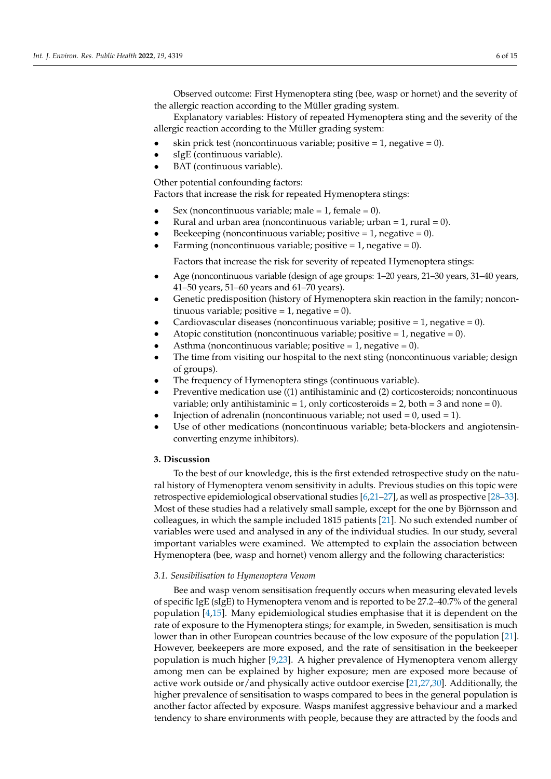Observed outcome: First Hymenoptera sting (bee, wasp or hornet) and the severity of the allergic reaction according to the Müller grading system.

Explanatory variables: History of repeated Hymenoptera sting and the severity of the allergic reaction according to the Müller grading system:

- skin prick test (noncontinuous variable; positive  $= 1$ , negative  $= 0$ ).
- sIgE (continuous variable).
- BAT (continuous variable).

Other potential confounding factors:

Factors that increase the risk for repeated Hymenoptera stings:

- Sex (noncontinuous variable; male =  $1$ , female = 0).
- Rural and urban area (noncontinuous variable; urban  $= 1$ , rural  $= 0$ ).
- Beekeeping (noncontinuous variable; positive  $= 1$ , negative  $= 0$ ).
- Farming (noncontinuous variable; positive  $= 1$ , negative  $= 0$ ).

Factors that increase the risk for severity of repeated Hymenoptera stings:

- Age (noncontinuous variable (design of age groups: 1–20 years, 21–30 years, 31–40 years, 41–50 years, 51–60 years and 61–70 years).
- Genetic predisposition (history of Hymenoptera skin reaction in the family; noncontinuous variable; positive  $= 1$ , negative  $= 0$ ).
- Cardiovascular diseases (noncontinuous variable; positive  $= 1$ , negative  $= 0$ ).
- Atopic constitution (noncontinuous variable; positive  $= 1$ , negative  $= 0$ ).
- Asthma (noncontinuous variable; positive =  $1$ , negative =  $0$ ).
- The time from visiting our hospital to the next sting (noncontinuous variable; design of groups).
- The frequency of Hymenoptera stings (continuous variable).
- Preventive medication use ((1) antihistaminic and (2) corticosteroids; noncontinuous variable; only antihistaminic = 1, only corticosteroids = 2, both = 3 and none = 0).
- Injection of adrenalin (noncontinuous variable; not used  $= 0$ , used  $= 1$ ).
- Use of other medications (noncontinuous variable; beta-blockers and angiotensinconverting enzyme inhibitors).

# **3. Discussion**

To the best of our knowledge, this is the first extended retrospective study on the natural history of Hymenoptera venom sensitivity in adults. Previous studies on this topic were retrospective epidemiological observational studies [6,21–27], as well as prospective [28–33]. Most of these studies had a relatively small sample, except for the one by Björnsson and colleagues, in which the sample included 1815 patients [21]. No such extended number of variables were used and analysed in any of the individual studies. In our study, several important variables were examined. We attempted to explain the association between Hymenoptera (bee, wasp and hornet) venom allergy and the following characteristics:

#### *3.1. Sensibilisation to Hymenoptera Venom*

Bee and wasp venom sensitisation frequently occurs when measuring elevated levels of specific IgE (sIgE) to Hymenoptera venom and is reported to be 27.2–40.7% of the general population [4,15]. Many epidemiological studies emphasise that it is dependent on the rate of exposure to the Hymenoptera stings; for example, in Sweden, sensitisation is much lower than in other European countries because of the low exposure of the population [21]. However, beekeepers are more exposed, and the rate of sensitisation in the beekeeper population is much higher [9,23]. A higher prevalence of Hymenoptera venom allergy among men can be explained by higher exposure; men are exposed more because of active work outside or/and physically active outdoor exercise [21,27,30]. Additionally, the higher prevalence of sensitisation to wasps compared to bees in the general population is another factor affected by exposure. Wasps manifest aggressive behaviour and a marked tendency to share environments with people, because they are attracted by the foods and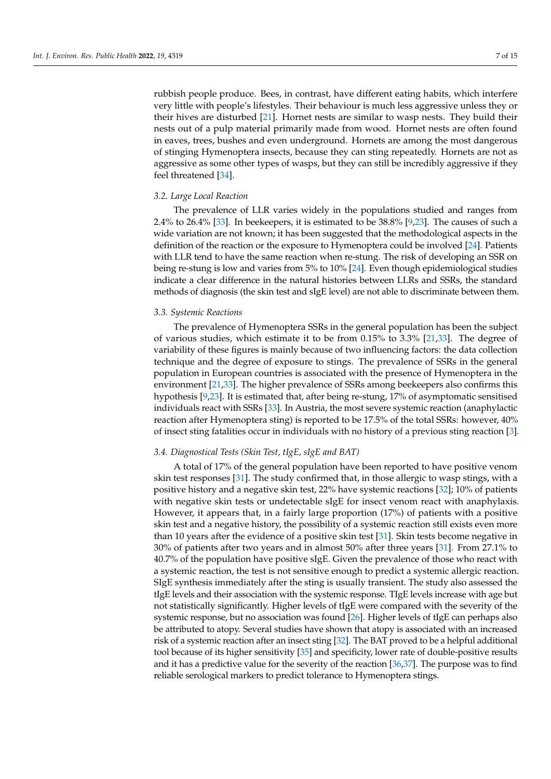rubbish people produce. Bees, in contrast, have different eating habits, which interfere very little with people's lifestyles. Their behaviour is much less aggressive unless they or their hives are disturbed [21]. Hornet nests are similar to wasp nests. They build their nests out of a pulp material primarily made from wood. Hornet nests are often found in eaves, trees, bushes and even underground. Hornets are among the most dangerous of stinging Hymenoptera insects, because they can sting repeatedly. Hornets are not as aggressive as some other types of wasps, but they can still be incredibly aggressive if they feel threatened [34].

#### *3.2. Large Local Reaction*

The prevalence of LLR varies widely in the populations studied and ranges from 2.4% to 26.4% [33]. In beekeepers, it is estimated to be 38.8% [9,23]. The causes of such a wide variation are not known; it has been suggested that the methodological aspects in the definition of the reaction or the exposure to Hymenoptera could be involved [24]. Patients with LLR tend to have the same reaction when re-stung. The risk of developing an SSR on being re-stung is low and varies from 5% to 10% [24]. Even though epidemiological studies indicate a clear difference in the natural histories between LLRs and SSRs, the standard methods of diagnosis (the skin test and sIgE level) are not able to discriminate between them.

#### *3.3. Systemic Reactions*

The prevalence of Hymenoptera SSRs in the general population has been the subject of various studies, which estimate it to be from 0.15% to 3.3% [21,33]. The degree of variability of these figures is mainly because of two influencing factors: the data collection technique and the degree of exposure to stings. The prevalence of SSRs in the general population in European countries is associated with the presence of Hymenoptera in the environment [21,33]. The higher prevalence of SSRs among beekeepers also confirms this hypothesis [9,23]. It is estimated that, after being re-stung, 17% of asymptomatic sensitised individuals react with SSRs [33]. In Austria, the most severe systemic reaction (anaphylactic reaction after Hymenoptera sting) is reported to be 17.5% of the total SSRs: however, 40% of insect sting fatalities occur in individuals with no history of a previous sting reaction [3].

# *3.4. Diagnostical Tests (Skin Test, tIgE, sIgE and BAT)*

A total of 17% of the general population have been reported to have positive venom skin test responses [31]. The study confirmed that, in those allergic to wasp stings, with a positive history and a negative skin test, 22% have systemic reactions [32]; 10% of patients with negative skin tests or undetectable sIgE for insect venom react with anaphylaxis. However, it appears that, in a fairly large proportion (17%) of patients with a positive skin test and a negative history, the possibility of a systemic reaction still exists even more than 10 years after the evidence of a positive skin test [31]. Skin tests become negative in 30% of patients after two years and in almost 50% after three years [31]. From 27.1% to 40.7% of the population have positive sIgE. Given the prevalence of those who react with a systemic reaction, the test is not sensitive enough to predict a systemic allergic reaction. SIgE synthesis immediately after the sting is usually transient. The study also assessed the tIgE levels and their association with the systemic response. TIgE levels increase with age but not statistically significantly. Higher levels of tIgE were compared with the severity of the systemic response, but no association was found [26]. Higher levels of tIgE can perhaps also be attributed to atopy. Several studies have shown that atopy is associated with an increased risk of a systemic reaction after an insect sting [32]. The BAT proved to be a helpful additional tool because of its higher sensitivity [35] and specificity, lower rate of double-positive results and it has a predictive value for the severity of the reaction [36,37]. The purpose was to find reliable serological markers to predict tolerance to Hymenoptera stings.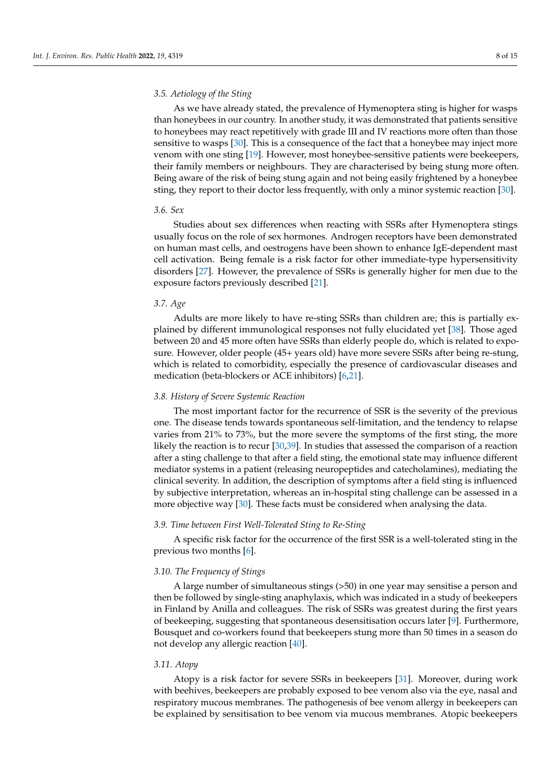# *3.5. Aetiology of the Sting*

As we have already stated, the prevalence of Hymenoptera sting is higher for wasps than honeybees in our country. In another study, it was demonstrated that patients sensitive to honeybees may react repetitively with grade III and IV reactions more often than those sensitive to wasps [30]. This is a consequence of the fact that a honeybee may inject more venom with one sting [19]. However, most honeybee-sensitive patients were beekeepers, their family members or neighbours. They are characterised by being stung more often. Being aware of the risk of being stung again and not being easily frightened by a honeybee sting, they report to their doctor less frequently, with only a minor systemic reaction [30].

# *3.6. Sex*

Studies about sex differences when reacting with SSRs after Hymenoptera stings usually focus on the role of sex hormones. Androgen receptors have been demonstrated on human mast cells, and oestrogens have been shown to enhance IgE-dependent mast cell activation. Being female is a risk factor for other immediate-type hypersensitivity disorders [27]. However, the prevalence of SSRs is generally higher for men due to the exposure factors previously described [21].

## *3.7. Age*

Adults are more likely to have re-sting SSRs than children are; this is partially explained by different immunological responses not fully elucidated yet [38]. Those aged between 20 and 45 more often have SSRs than elderly people do, which is related to exposure. However, older people (45+ years old) have more severe SSRs after being re-stung, which is related to comorbidity, especially the presence of cardiovascular diseases and medication (beta-blockers or ACE inhibitors) [6,21].

### *3.8. History of Severe Systemic Reaction*

The most important factor for the recurrence of SSR is the severity of the previous one. The disease tends towards spontaneous self-limitation, and the tendency to relapse varies from 21% to 73%, but the more severe the symptoms of the first sting, the more likely the reaction is to recur [30,39]. In studies that assessed the comparison of a reaction after a sting challenge to that after a field sting, the emotional state may influence different mediator systems in a patient (releasing neuropeptides and catecholamines), mediating the clinical severity. In addition, the description of symptoms after a field sting is influenced by subjective interpretation, whereas an in-hospital sting challenge can be assessed in a more objective way [30]. These facts must be considered when analysing the data.

# *3.9. Time between First Well-Tolerated Sting to Re-Sting*

A specific risk factor for the occurrence of the first SSR is a well-tolerated sting in the previous two months [6].

# *3.10. The Frequency of Stings*

A large number of simultaneous stings (>50) in one year may sensitise a person and then be followed by single-sting anaphylaxis, which was indicated in a study of beekeepers in Finland by Anilla and colleagues. The risk of SSRs was greatest during the first years of beekeeping, suggesting that spontaneous desensitisation occurs later [9]. Furthermore, Bousquet and co-workers found that beekeepers stung more than 50 times in a season do not develop any allergic reaction [40].

#### *3.11. Atopy*

Atopy is a risk factor for severe SSRs in beekeepers [31]. Moreover, during work with beehives, beekeepers are probably exposed to bee venom also via the eye, nasal and respiratory mucous membranes. The pathogenesis of bee venom allergy in beekeepers can be explained by sensitisation to bee venom via mucous membranes. Atopic beekeepers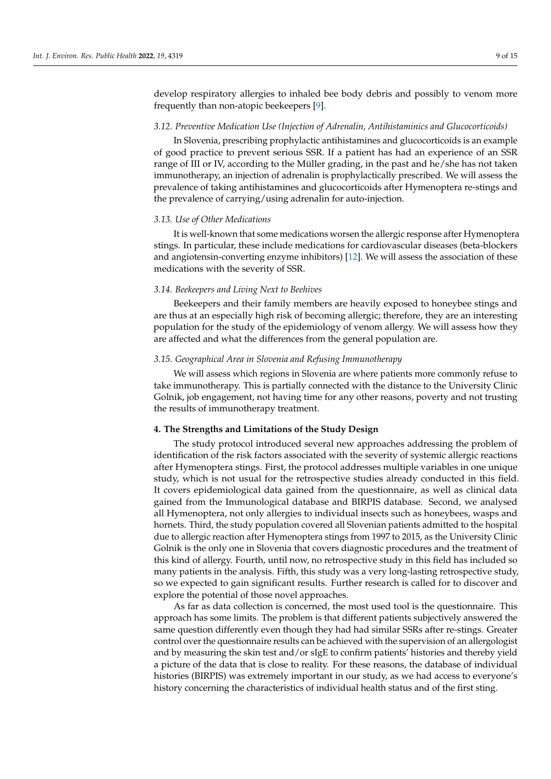develop respiratory allergies to inhaled bee body debris and possibly to venom more frequently than non-atopic beekeepers [9].

#### *3.12. Preventive Medication Use (Injection of Adrenalin, Antihistaminics and Glucocorticoids)*

In Slovenia, prescribing prophylactic antihistamines and glucocorticoids is an example of good practice to prevent serious SSR. If a patient has had an experience of an SSR range of III or IV, according to the Müller grading, in the past and he/she has not taken immunotherapy, an injection of adrenalin is prophylactically prescribed. We will assess the prevalence of taking antihistamines and glucocorticoids after Hymenoptera re-stings and the prevalence of carrying/using adrenalin for auto-injection.

#### *3.13. Use of Other Medications*

It is well-known that some medications worsen the allergic response after Hymenoptera stings. In particular, these include medications for cardiovascular diseases (beta-blockers and angiotensin-converting enzyme inhibitors) [12]. We will assess the association of these medications with the severity of SSR.

## *3.14. Beekeepers and Living Next to Beehives*

Beekeepers and their family members are heavily exposed to honeybee stings and are thus at an especially high risk of becoming allergic; therefore, they are an interesting population for the study of the epidemiology of venom allergy. We will assess how they are affected and what the differences from the general population are.

# *3.15. Geographical Area in Slovenia and Refusing Immunotherapy*

We will assess which regions in Slovenia are where patients more commonly refuse to take immunotherapy. This is partially connected with the distance to the University Clinic Golnik, job engagement, not having time for any other reasons, poverty and not trusting the results of immunotherapy treatment.

#### **4. The Strengths and Limitations of the Study Design**

The study protocol introduced several new approaches addressing the problem of identification of the risk factors associated with the severity of systemic allergic reactions after Hymenoptera stings. First, the protocol addresses multiple variables in one unique study, which is not usual for the retrospective studies already conducted in this field. It covers epidemiological data gained from the questionnaire, as well as clinical data gained from the Immunological database and BIRPIS database. Second, we analysed all Hymenoptera, not only allergies to individual insects such as honeybees, wasps and hornets. Third, the study population covered all Slovenian patients admitted to the hospital due to allergic reaction after Hymenoptera stings from 1997 to 2015, as the University Clinic Golnik is the only one in Slovenia that covers diagnostic procedures and the treatment of this kind of allergy. Fourth, until now, no retrospective study in this field has included so many patients in the analysis. Fifth, this study was a very long-lasting retrospective study, so we expected to gain significant results. Further research is called for to discover and explore the potential of those novel approaches.

As far as data collection is concerned, the most used tool is the questionnaire. This approach has some limits. The problem is that different patients subjectively answered the same question differently even though they had had similar SSRs after re-stings. Greater control over the questionnaire results can be achieved with the supervision of an allergologist and by measuring the skin test and/or sIgE to confirm patients' histories and thereby yield a picture of the data that is close to reality. For these reasons, the database of individual histories (BIRPIS) was extremely important in our study, as we had access to everyone's history concerning the characteristics of individual health status and of the first sting.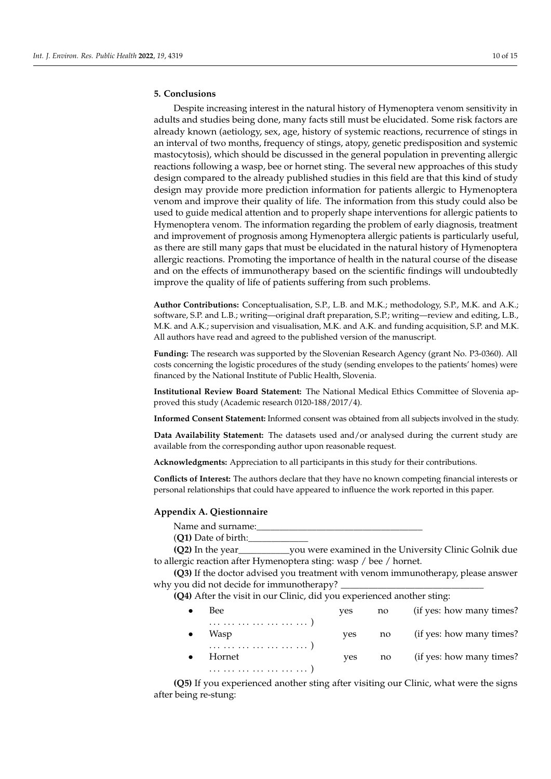# **5. Conclusions**

Despite increasing interest in the natural history of Hymenoptera venom sensitivity in adults and studies being done, many facts still must be elucidated. Some risk factors are already known (aetiology, sex, age, history of systemic reactions, recurrence of stings in an interval of two months, frequency of stings, atopy, genetic predisposition and systemic mastocytosis), which should be discussed in the general population in preventing allergic reactions following a wasp, bee or hornet sting. The several new approaches of this study design compared to the already published studies in this field are that this kind of study design may provide more prediction information for patients allergic to Hymenoptera venom and improve their quality of life. The information from this study could also be used to guide medical attention and to properly shape interventions for allergic patients to Hymenoptera venom. The information regarding the problem of early diagnosis, treatment and improvement of prognosis among Hymenoptera allergic patients is particularly useful, as there are still many gaps that must be elucidated in the natural history of Hymenoptera allergic reactions. Promoting the importance of health in the natural course of the disease and on the effects of immunotherapy based on the scientific findings will undoubtedly improve the quality of life of patients suffering from such problems.

**Author Contributions:** Conceptualisation, S.P., L.B. and M.K.; methodology, S.P., M.K. and A.K.; software, S.P. and L.B.; writing—original draft preparation, S.P.; writing—review and editing, L.B., M.K. and A.K.; supervision and visualisation, M.K. and A.K. and funding acquisition, S.P. and M.K. All authors have read and agreed to the published version of the manuscript.

**Funding:** The research was supported by the Slovenian Research Agency (grant No. P3-0360). All costs concerning the logistic procedures of the study (sending envelopes to the patients' homes) were financed by the National Institute of Public Health, Slovenia.

**Institutional Review Board Statement:** The National Medical Ethics Committee of Slovenia approved this study (Academic research 0120-188/2017/4).

**Informed Consent Statement:** Informed consent was obtained from all subjects involved in the study.

**Data Availability Statement:** The datasets used and/or analysed during the current study are available from the corresponding author upon reasonable request.

**Acknowledgments:** Appreciation to all participants in this study for their contributions.

**Conflicts of Interest:** The authors declare that they have no known competing financial interests or personal relationships that could have appeared to influence the work reported in this paper.

#### **Appendix A. Qiestionnaire**

Name and surname:

(**Q1)** Date of birth:\_\_\_\_\_\_\_\_\_\_\_\_\_

**(Q2)** In the year\_\_\_\_\_\_\_\_\_\_\_you were examined in the University Clinic Golnik due to allergic reaction after Hymenoptera sting: wasp / bee / hornet.

**(Q3)** If the doctor advised you treatment with venom immunotherapy, please answer why you did not decide for immunotherapy?

**(Q4)** After the visit in our Clinic, did you experienced another sting:

| Bee    | ves | no | (if yes: how many times?) |
|--------|-----|----|---------------------------|
| Wasp   | ves | no | (if yes: how many times?) |
| Hornet | ves | no | (if yes: how many times?) |

**(Q5)** If you experienced another sting after visiting our Clinic, what were the signs after being re-stung: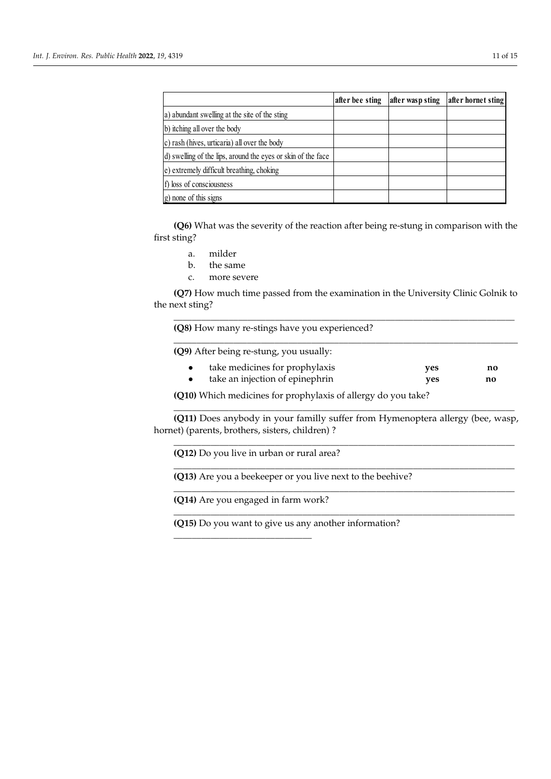|                                                              | after bee sting | after wasp sting | after hornet sting |
|--------------------------------------------------------------|-----------------|------------------|--------------------|
| a) abundant swelling at the site of the sting                |                 |                  |                    |
| b) itching all over the body                                 |                 |                  |                    |
| c) rash (hives, urticaria) all over the body                 |                 |                  |                    |
| d) swelling of the lips, around the eyes or skin of the face |                 |                  |                    |
| e) extremely difficult breathing, choking                    |                 |                  |                    |
| f) loss of consciousness                                     |                 |                  |                    |
| g) none of this signs                                        |                 |                  |                    |

**(Q6)** What was the severity of the reaction after being re-stung in comparison with the sting? first sting?

- a. milder a. milder
- b. the same b. the same
- c. more severe c. more severe

**(Q7)** How much time passed from the examination in the University Clinic Golnik to the next sting?

\_\_\_\_\_\_\_\_\_\_\_\_\_\_\_\_\_\_\_\_\_\_\_\_\_\_\_\_\_\_\_\_\_\_\_\_\_\_\_\_\_\_\_\_\_\_\_\_\_\_\_\_\_\_\_\_\_\_\_\_\_\_\_\_\_\_\_\_\_\_\_\_\_\_

\_\_\_\_\_\_\_\_\_\_\_\_\_\_\_\_\_\_\_\_\_\_\_\_\_\_\_\_\_\_\_\_\_\_\_\_\_\_\_\_\_\_\_\_\_\_\_\_\_\_\_\_\_\_\_\_\_\_\_\_\_\_\_\_\_\_\_\_\_\_\_\_\_\_\_

**(Q8)** How many re-stings have you experienced?

\_\_\_\_\_\_\_\_\_\_\_\_\_\_\_\_\_\_\_\_\_\_\_\_\_\_\_\_\_\_\_\_\_\_\_\_\_\_\_\_\_\_\_\_\_\_\_\_\_\_\_\_\_\_\_\_\_\_\_\_\_\_\_\_\_\_\_\_\_\_\_\_\_\_ **(Q9)** After being re-stung, you usually:

| take medicines for prophylaxis  | yes | no |
|---------------------------------|-----|----|
| take an injection of epinephrin | ves | no |

\_\_\_\_\_\_\_\_\_\_\_\_\_\_\_\_\_\_\_\_\_\_\_\_\_\_\_\_\_\_\_\_\_\_\_\_\_\_\_\_\_\_\_\_\_\_\_\_\_\_\_\_\_\_\_\_\_\_\_\_\_\_\_\_\_\_\_\_\_\_\_\_\_\_

\_\_\_\_\_\_\_\_\_\_\_\_\_\_\_\_\_\_\_\_\_\_\_\_\_\_\_\_\_\_\_\_\_\_\_\_\_\_\_\_\_\_\_\_\_\_\_\_\_\_\_\_\_\_\_\_\_\_\_\_\_\_\_\_\_\_\_\_\_\_\_\_\_\_

\_\_\_\_\_\_\_\_\_\_\_\_\_\_\_\_\_\_\_\_\_\_\_\_\_\_\_\_\_\_\_\_\_\_\_\_\_\_\_\_\_\_\_\_\_\_\_\_\_\_\_\_\_\_\_\_\_\_\_\_\_\_\_\_\_\_\_\_\_\_\_\_\_\_

\_\_\_\_\_\_\_\_\_\_\_\_\_\_\_\_\_\_\_\_\_\_\_\_\_\_\_\_\_\_\_\_\_\_\_\_\_\_\_\_\_\_\_\_\_\_\_\_\_\_\_\_\_\_\_\_\_\_\_\_\_\_\_\_\_\_\_\_\_\_\_\_\_\_

\_\_\_\_\_\_\_\_\_\_\_\_\_\_\_\_\_\_\_\_\_\_\_\_\_\_\_\_\_\_\_\_\_\_\_\_\_\_\_\_\_\_\_\_\_\_\_\_\_\_\_\_\_\_\_\_\_\_\_\_\_\_\_\_\_\_\_\_\_\_\_\_\_\_

**(Q7)** How much time passed from the examination in the University Clinic Golnik to

**(Q10)** Which medicines for prophylaxis of allergy do you take?

 $\frac{1}{2}$  **r (Q10)** Which medicines for prophylaxis of allergy do you take?

(Q11) Does anybody in your familly suffer from Hymenoptera allergy (bee, wasp, • take an injection of epinephrin **yes no**  hornet) (parents, brothers, sisters, children) ?

**(Q12)** Do you live in urban or rural area?

**(Q13)** Are you a beekeeper or you live next to the beehive?

**(Q14)** Are you engaged in farm work?

\_\_\_\_\_\_\_\_\_\_\_\_\_\_\_\_\_\_\_\_\_\_\_\_\_\_\_\_\_\_

hornet) (parents, brothers, sisters, children) ? **(Q15)** Do you want to give us any another information?

**(Q12)** Do you live in urban or rural area?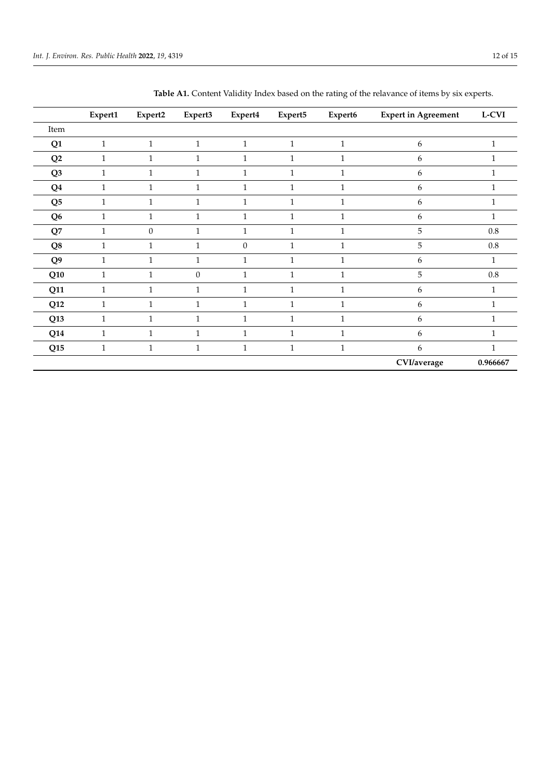|                 | Expert1      | Expert2          | Expert3          | Expert4      | Expert5      | Expert6      | <b>Expert in Agreement</b> | $L-CVI$      |
|-----------------|--------------|------------------|------------------|--------------|--------------|--------------|----------------------------|--------------|
| Item            |              |                  |                  |              |              |              |                            |              |
| Q1              | $\mathbf{1}$ | $\mathbf{1}$     | $\mathbf{1}$     | $1\,$        | $1\,$        | $\mathbf{1}$ | 6                          | $\mathbf{1}$ |
| $\mathbf{Q2}$   | $\mathbf{1}$ | $\mathbf{1}$     | $\mathbf{1}$     | $\mathbf{1}$ | $\mathbf{1}$ | $\mathbf{1}$ | 6                          |              |
| Q <sub>3</sub>  | $\mathbf{1}$ | $\mathbf{1}$     | $\mathbf{1}$     | $\mathbf{1}$ | $\mathbf{1}$ | $\mathbf{1}$ | 6                          |              |
| Q <sub>4</sub>  | $\mathbf{1}$ | $\mathbf{1}$     | $\mathbf{1}$     | $\mathbf{1}$ | $\mathbf{1}$ | $\mathbf{1}$ | 6                          |              |
| Q <sub>5</sub>  | $\mathbf{1}$ | $\mathbf{1}$     | $\mathbf{1}$     | $\mathbf{1}$ | $\mathbf{1}$ | $\mathbf{1}$ | 6                          |              |
| Q <sub>6</sub>  | 1            | 1                | $\mathbf 1$      | $\mathbf{1}$ | 1            | 1            | 6                          |              |
| $\mathbf{Q}7$   | 1            | $\boldsymbol{0}$ | 1                | $\mathbf{1}$ | 1            | 1            | 5                          | $0.8\,$      |
| Q8              | 1            | 1                | 1                | $\mathbf{0}$ | 1            | $\mathbf{1}$ | 5                          | $0.8\,$      |
| Q9              |              | 1                | $\mathbf 1$      | $\mathbf 1$  | 1            | $\mathbf{1}$ | 6                          | 1            |
| Q10             | 1            | 1                | $\boldsymbol{0}$ | $\mathbf{1}$ | $\mathbf{1}$ | $\mathbf{1}$ | 5                          | $0.8\,$      |
| Q11             | $\mathbf{1}$ | $\mathbf{1}$     | $\mathbf{1}$     | $\mathbf{1}$ | $\mathbf{1}$ | $\mathbf{1}$ | 6                          | $\mathbf{1}$ |
| Q12             | $\mathbf{1}$ | $\mathbf{1}$     | $\mathbf{1}$     | $\mathbf{1}$ | $\mathbf{1}$ | $\mathbf{1}$ | 6                          | $\mathbf{1}$ |
| Q <sub>13</sub> | $\mathbf{1}$ | $\mathbf{1}$     | $\mathbf{1}$     | $\mathbf{1}$ | $\mathbf{1}$ | $\mathbf{1}$ | 6                          | $\mathbf{1}$ |
| Q14             | $\mathbf{1}$ | $\mathbf{1}$     | $\mathbf{1}$     | $\mathbf{1}$ | $\mathbf{1}$ | $\mathbf{1}$ | 6                          | 1            |
| Q15             | $\mathbf{1}$ | $\mathbf{1}$     | $\mathbf{1}$     | $1\,$        | $\mathbf{1}$ | $\mathbf{1}$ | 6                          | $\mathbf{1}$ |
|                 |              |                  |                  |              |              |              | CVI/average                | 0.966667     |

| Table A1. Content Validity Index based on the rating of the relavance of items by six experts. |  |
|------------------------------------------------------------------------------------------------|--|
|                                                                                                |  |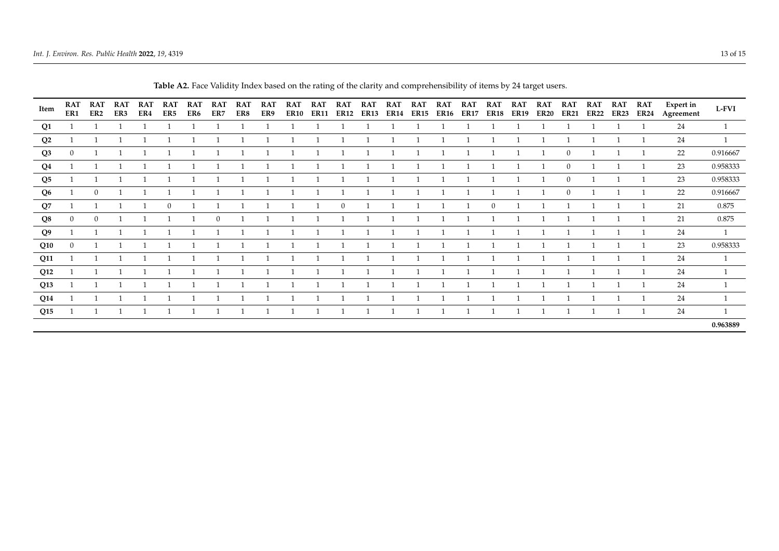| Item           | <b>RAT</b><br>ER1 | <b>RAT</b><br>ER2 | <b>RAT</b><br>ER3 | <b>RAT</b><br>ER4 | <b>RAT</b><br>ER5 | <b>RAT</b><br>ER6 | <b>RAT</b><br>ER7 | <b>RAT</b><br>ER8 | <b>RAT</b><br>ER9 | <b>RAT</b><br><b>ER10</b> | <b>RAT</b><br><b>ER11</b> | <b>RAT</b><br><b>ER12</b> | <b>RAT</b><br><b>ER13</b> | <b>RAT</b><br><b>ER14</b> | <b>RAT</b><br><b>ER15</b> | <b>RAT</b><br><b>ER16</b> | <b>RAT</b><br><b>ER17</b> | <b>RAT</b><br><b>ER18</b> | <b>RAT</b><br><b>ER19</b> | <b>RAT</b><br><b>ER20</b> | <b>RAT</b><br><b>ER21</b> | <b>RAT</b><br><b>ER22</b> | <b>RAT</b><br><b>ER23</b> | <b>RAT</b><br><b>ER24</b> | <b>Expert in</b><br>Agreement | <b>L-FVI</b> |
|----------------|-------------------|-------------------|-------------------|-------------------|-------------------|-------------------|-------------------|-------------------|-------------------|---------------------------|---------------------------|---------------------------|---------------------------|---------------------------|---------------------------|---------------------------|---------------------------|---------------------------|---------------------------|---------------------------|---------------------------|---------------------------|---------------------------|---------------------------|-------------------------------|--------------|
| Q1             |                   |                   |                   |                   |                   |                   |                   |                   |                   |                           |                           |                           |                           |                           |                           |                           |                           |                           |                           |                           |                           |                           |                           |                           | 24                            |              |
| Q <sub>2</sub> |                   |                   |                   |                   |                   |                   |                   |                   |                   |                           |                           |                           |                           |                           |                           |                           |                           |                           |                           |                           |                           |                           |                           |                           | 24                            |              |
| Q3             | $\overline{0}$    |                   |                   |                   |                   |                   |                   |                   |                   |                           |                           |                           |                           |                           |                           |                           |                           |                           |                           |                           | $\mathbf{0}$              |                           |                           |                           | 22                            | 0.916667     |
| $\mathbf{Q}4$  |                   |                   |                   |                   |                   |                   |                   |                   |                   |                           |                           |                           |                           |                           |                           |                           |                           |                           |                           |                           | $\mathbf{0}$              |                           |                           |                           | 23                            | 0.958333     |
| Q5             |                   |                   |                   |                   |                   |                   |                   |                   |                   |                           |                           |                           |                           |                           |                           |                           |                           |                           |                           |                           | $\mathbf{0}$              |                           |                           |                           | 23                            | 0.958333     |
| Q6             |                   | $\mathbf{0}$      |                   |                   |                   |                   |                   |                   |                   |                           |                           |                           |                           |                           |                           |                           |                           |                           |                           |                           | $\theta$                  |                           |                           |                           | 22                            | 0.916667     |
| Q7             |                   |                   |                   |                   | $\Omega$          |                   |                   |                   |                   |                           |                           | $\Omega$                  |                           |                           |                           |                           |                           | $\overline{0}$            |                           |                           |                           |                           |                           |                           | 21                            | 0.875        |
| $\mathbf{Q}$ 8 | $\mathbf{0}$      | $\overline{0}$    |                   |                   |                   |                   | $\theta$          |                   |                   |                           |                           |                           |                           |                           |                           |                           |                           |                           |                           |                           |                           |                           |                           |                           | 21                            | 0.875        |
| Q <sub>9</sub> |                   |                   |                   |                   |                   |                   |                   |                   |                   |                           |                           |                           |                           |                           |                           |                           |                           |                           |                           |                           |                           |                           |                           | 1                         | 24                            | 1            |
| Q10            | $\overline{0}$    |                   |                   |                   |                   |                   |                   |                   |                   |                           |                           |                           |                           |                           |                           |                           |                           |                           |                           |                           |                           |                           |                           |                           | 23                            | 0.958333     |
| Q11            |                   |                   |                   |                   |                   |                   |                   |                   |                   |                           |                           |                           |                           |                           |                           |                           |                           |                           |                           |                           |                           |                           |                           | 1                         | 24                            |              |
| Q12            |                   |                   |                   |                   |                   |                   |                   |                   |                   |                           |                           |                           |                           |                           |                           |                           |                           |                           |                           |                           |                           |                           |                           |                           | 24                            |              |
| Q13            |                   |                   |                   |                   |                   |                   |                   |                   |                   |                           |                           |                           |                           |                           |                           |                           |                           |                           |                           |                           |                           |                           |                           |                           | 24                            |              |
| Q14            |                   |                   |                   |                   |                   |                   |                   |                   |                   |                           |                           |                           |                           |                           |                           |                           |                           |                           |                           |                           |                           |                           |                           |                           | 24                            |              |
| Q15            |                   |                   |                   |                   |                   |                   |                   |                   |                   |                           |                           |                           |                           |                           |                           |                           | -1                        |                           |                           | -1                        |                           |                           |                           | 1                         | 24                            |              |
|                |                   |                   |                   |                   |                   |                   |                   |                   |                   |                           |                           |                           |                           |                           |                           |                           |                           |                           |                           |                           |                           |                           |                           |                           |                               | 0.963889     |
|                |                   |                   |                   |                   |                   |                   |                   |                   |                   |                           |                           |                           |                           |                           |                           |                           |                           |                           |                           |                           |                           |                           |                           |                           |                               |              |

**Table A2.** Face Validity Index based on the rating of the clarity and comprehensibility of items by 24 target users.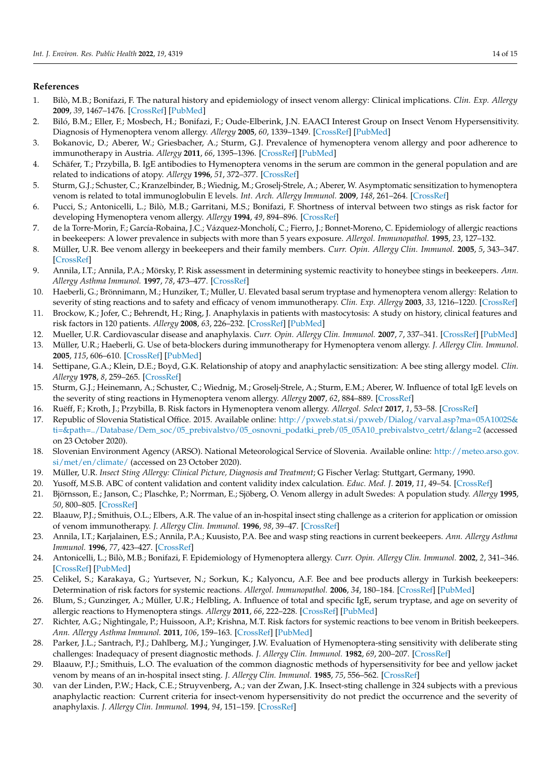# **References**

- 1. Bilò, M.B.; Bonifazi, F. The natural history and epidemiology of insect venom allergy: Clinical implications. *Clin. Exp. Allergy* **2009**, *39*, 1467–1476. [CrossRef] [PubMed]
- 2. Biló, B.M.; Eller, F.; Mosbech, H.; Bonifazi, F.; Oude-Elberink, J.N. EAACI Interest Group on Insect Venom Hypersensitivity. Diagnosis of Hymenoptera venom allergy. *Allergy* **2005**, *60*, 1339–1349. [CrossRef] [PubMed]
- 3. Bokanovic, D.; Aberer, W.; Griesbacher, A.; Sturm, G.J. Prevalence of hymenoptera venom allergy and poor adherence to immunotherapy in Austria. *Allergy* **2011**, *66*, 1395–1396. [CrossRef] [PubMed]
- 4. Schäfer, T.; Przybilla, B. IgE antibodies to Hymenoptera venoms in the serum are common in the general population and are related to indications of atopy. *Allergy* **1996**, *51*, 372–377. [CrossRef]
- 5. Sturm, G.J.; Schuster, C.; Kranzelbinder, B.; Wiednig, M.; Groselj-Strele, A.; Aberer, W. Asymptomatic sensitization to hymenoptera venom is related to total immunoglobulin E levels. *Int. Arch. Allergy Immunol.* **2009**, *148*, 261–264. [CrossRef]
- 6. Pucci, S.; Antonicelli, L.; Bilò, M.B.; Garritani, M.S.; Bonifazi, F. Shortness of interval between two stings as risk factor for developing Hymenoptera venom allergy. *Allergy* **1994**, *49*, 894–896. [CrossRef]
- 7. de la Torre-Morin, F.; García-Robaina, J.C.; Vázquez-Moncholí, C.; Fierro, J.; Bonnet-Moreno, C. Epidemiology of allergic reactions in beekeepers: A lower prevalence in subjects with more than 5 years exposure. *Allergol. Immunopathol.* **1995**, *23*, 127–132.
- 8. Müller, U.R. Bee venom allergy in beekeepers and their family members. *Curr. Opin. Allergy Clin. Immunol.* **2005**, *5*, 343–347. [CrossRef]
- 9. Annila, I.T.; Annila, P.A.; Mörsky, P. Risk assessment in determining systemic reactivity to honeybee stings in beekeepers. *Ann. Allergy Asthma Immunol.* **1997**, *78*, 473–477. [CrossRef]
- 10. Haeberli, G.; Brönnimann, M.; Hunziker, T.; Müller, U. Elevated basal serum tryptase and hymenoptera venom allergy: Relation to severity of sting reactions and to safety and efficacy of venom immunotherapy. *Clin. Exp. Allergy* **2003**, *33*, 1216–1220. [CrossRef]
- 11. Brockow, K.; Jofer, C.; Behrendt, H.; Ring, J. Anaphylaxis in patients with mastocytosis: A study on history, clinical features and risk factors in 120 patients. *Allergy* **2008**, *63*, 226–232. [CrossRef] [PubMed]
- 12. Mueller, U.R. Cardiovascular disease and anaphylaxis. *Curr. Opin. Allergy Clin. Immunol.* **2007**, *7*, 337–341. [CrossRef] [PubMed]
- 13. Müller, U.R.; Haeberli, G. Use of beta-blockers during immunotherapy for Hymenoptera venom allergy. *J. Allergy Clin. Immunol.* **2005**, *115*, 606–610. [CrossRef] [PubMed]
- 14. Settipane, G.A.; Klein, D.E.; Boyd, G.K. Relationship of atopy and anaphylactic sensitization: A bee sting allergy model. *Clin. Allergy* **1978**, *8*, 259–265. [CrossRef]
- 15. Sturm, G.J.; Heinemann, A.; Schuster, C.; Wiednig, M.; Groselj-Strele, A.; Sturm, E.M.; Aberer, W. Influence of total IgE levels on the severity of sting reactions in Hymenoptera venom allergy. *Allergy* **2007**, *62*, 884–889. [CrossRef]
- 16. Ruëff, F.; Kroth, J.; Przybilla, B. Risk factors in Hymenoptera venom allergy. *Allergol. Select* **2017**, *1*, 53–58. [CrossRef]
- 17. Republic of Slovenia Statistical Office. 2015. Available online: http://pxweb.stat.si/pxweb/Dialog/varval.asp?ma=05A1002S& ti=&path=../Database/Dem\_soc/05\_prebivalstvo/05\_osnovni\_podatki\_preb/05\_05A10\_prebivalstvo\_cetrt/&lang=2 (accessed on 23 October 2020).
- 18. Slovenian Environment Agency (ARSO). National Meteorological Service of Slovenia. Available online: http://meteo.arso.gov. si/met/en/climate/ (accessed on 23 October 2020).
- 19. Müller, U.R. *Insect Sting Allergy: Clinical Picture, Diagnosis and Treatment*; G Fischer Verlag: Stuttgart, Germany, 1990.
- 20. Yusoff, M.S.B. ABC of content validation and content validity index calculation. *Educ. Med. J.* **2019**, *11*, 49–54. [CrossRef]
- 21. Björnsson, E.; Janson, C.; Plaschke, P.; Norrman, E.; Sjöberg, O. Venom allergy in adult Swedes: A population study. *Allergy* **1995**, *50*, 800–805. [CrossRef]
- 22. Blaauw, P.J.; Smithuis, O.L.; Elbers, A.R. The value of an in-hospital insect sting challenge as a criterion for application or omission of venom immunotherapy. *J. Allergy Clin. Immunol.* **1996**, *98*, 39–47. [CrossRef]
- 23. Annila, I.T.; Karjalainen, E.S.; Annila, P.A.; Kuusisto, P.A. Bee and wasp sting reactions in current beekeepers. *Ann. Allergy Asthma Immunol.* **1996**, *77*, 423–427. [CrossRef]
- 24. Antonicelli, L.; Bilò, M.B.; Bonifazi, F. Epidemiology of Hymenoptera allergy. *Curr. Opin. Allergy Clin. Immunol.* **2002**, *2*, 341–346. [CrossRef] [PubMed]
- 25. Celikel, S.; Karakaya, G.; Yurtsever, N.; Sorkun, K.; Kalyoncu, A.F. Bee and bee products allergy in Turkish beekeepers: Determination of risk factors for systemic reactions. *Allergol. Immunopathol.* **2006**, *34*, 180–184. [CrossRef] [PubMed]
- 26. Blum, S.; Gunzinger, A.; Müller, U.R.; Helbling, A. Influence of total and specific IgE, serum tryptase, and age on severity of allergic reactions to Hymenoptera stings. *Allergy* **2011**, *66*, 222–228. [CrossRef] [PubMed]
- 27. Richter, A.G.; Nightingale, P.; Huissoon, A.P.; Krishna, M.T. Risk factors for systemic reactions to bee venom in British beekeepers. *Ann. Allergy Asthma Immunol.* **2011**, *106*, 159–163. [CrossRef] [PubMed]
- 28. Parker, J.L.; Santrach, P.J.; Dahlberg, M.J.; Yunginger, J.W. Evaluation of Hymenoptera-sting sensitivity with deliberate sting challenges: Inadequacy of present diagnostic methods. *J. Allergy Clin. Immunol.* **1982**, *69*, 200–207. [CrossRef]
- 29. Blaauw, P.J.; Smithuis, L.O. The evaluation of the common diagnostic methods of hypersensitivity for bee and yellow jacket venom by means of an in-hospital insect sting. *J. Allergy Clin. Immunol.* **1985**, *75*, 556–562. [CrossRef]
- 30. van der Linden, P.W.; Hack, C.E.; Struyvenberg, A.; van der Zwan, J.K. Insect-sting challenge in 324 subjects with a previous anaphylactic reaction: Current criteria for insect-venom hypersensitivity do not predict the occurrence and the severity of anaphylaxis. *J. Allergy Clin. Immunol.* **1994**, *94*, 151–159. [CrossRef]